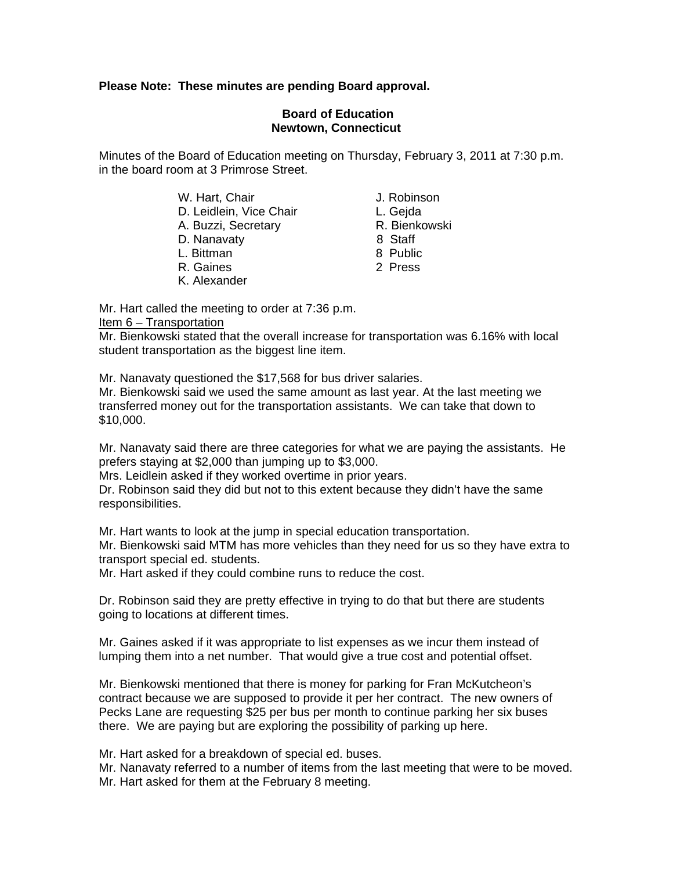# **Please Note: These minutes are pending Board approval.**

## **Board of Education Newtown, Connecticut**

Minutes of the Board of Education meeting on Thursday, February 3, 2011 at 7:30 p.m. in the board room at 3 Primrose Street.

> W. Hart, Chair **J. Robinson** D. Leidlein, Vice Chair **L. Geida** A. Buzzi, Secretary **R. Bienkowski** D. Nanavaty 8 Staff

- L. Bittman 8 Public
- R. Gaines 2 Press
- K. Alexander
- 
- 
- 
- 
- 
- 

Mr. Hart called the meeting to order at 7:36 p.m.

### Item 6 – Transportation

Mr. Bienkowski stated that the overall increase for transportation was 6.16% with local student transportation as the biggest line item.

Mr. Nanavaty questioned the \$17,568 for bus driver salaries.

Mr. Bienkowski said we used the same amount as last year. At the last meeting we transferred money out for the transportation assistants. We can take that down to \$10,000.

Mr. Nanavaty said there are three categories for what we are paying the assistants. He prefers staying at \$2,000 than jumping up to \$3,000.

Mrs. Leidlein asked if they worked overtime in prior years.

Dr. Robinson said they did but not to this extent because they didn't have the same responsibilities.

Mr. Hart wants to look at the jump in special education transportation.

Mr. Bienkowski said MTM has more vehicles than they need for us so they have extra to transport special ed. students.

Mr. Hart asked if they could combine runs to reduce the cost.

Dr. Robinson said they are pretty effective in trying to do that but there are students going to locations at different times.

Mr. Gaines asked if it was appropriate to list expenses as we incur them instead of lumping them into a net number. That would give a true cost and potential offset.

Mr. Bienkowski mentioned that there is money for parking for Fran McKutcheon's contract because we are supposed to provide it per her contract. The new owners of Pecks Lane are requesting \$25 per bus per month to continue parking her six buses there. We are paying but are exploring the possibility of parking up here.

Mr. Hart asked for a breakdown of special ed. buses.

Mr. Nanavaty referred to a number of items from the last meeting that were to be moved. Mr. Hart asked for them at the February 8 meeting.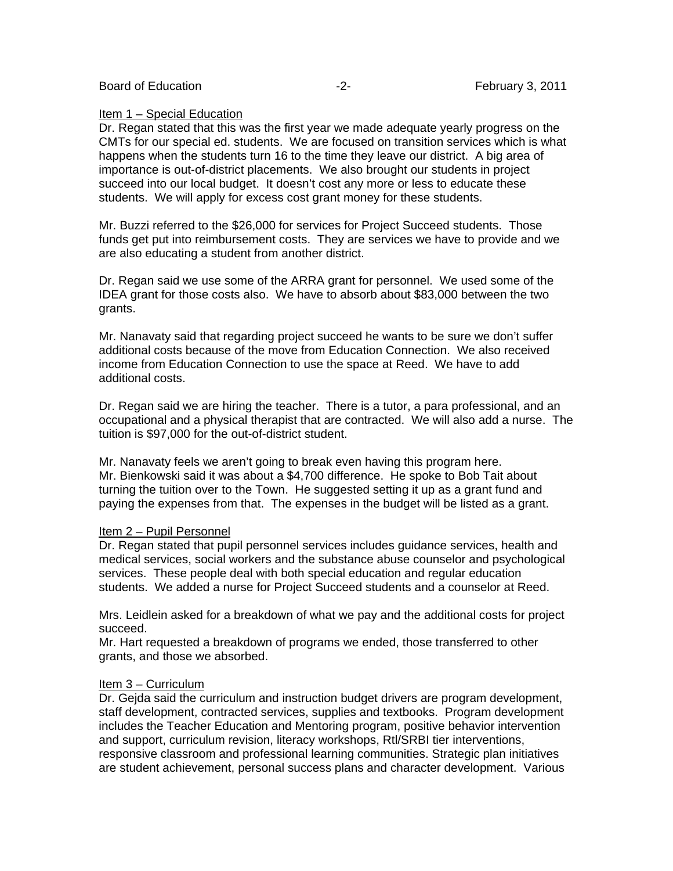Board of Education **-2**- February 3, 2011

### Item 1 – Special Education

Dr. Regan stated that this was the first year we made adequate yearly progress on the CMTs for our special ed. students. We are focused on transition services which is what happens when the students turn 16 to the time they leave our district. A big area of importance is out-of-district placements. We also brought our students in project succeed into our local budget. It doesn't cost any more or less to educate these students. We will apply for excess cost grant money for these students.

Mr. Buzzi referred to the \$26,000 for services for Project Succeed students. Those funds get put into reimbursement costs. They are services we have to provide and we are also educating a student from another district.

Dr. Regan said we use some of the ARRA grant for personnel. We used some of the IDEA grant for those costs also. We have to absorb about \$83,000 between the two grants.

Mr. Nanavaty said that regarding project succeed he wants to be sure we don't suffer additional costs because of the move from Education Connection. We also received income from Education Connection to use the space at Reed. We have to add additional costs.

Dr. Regan said we are hiring the teacher. There is a tutor, a para professional, and an occupational and a physical therapist that are contracted. We will also add a nurse. The tuition is \$97,000 for the out-of-district student.

Mr. Nanavaty feels we aren't going to break even having this program here. Mr. Bienkowski said it was about a \$4,700 difference. He spoke to Bob Tait about turning the tuition over to the Town. He suggested setting it up as a grant fund and paying the expenses from that. The expenses in the budget will be listed as a grant.

#### Item 2 – Pupil Personnel

Dr. Regan stated that pupil personnel services includes guidance services, health and medical services, social workers and the substance abuse counselor and psychological services. These people deal with both special education and regular education students. We added a nurse for Project Succeed students and a counselor at Reed.

Mrs. Leidlein asked for a breakdown of what we pay and the additional costs for project succeed.

Mr. Hart requested a breakdown of programs we ended, those transferred to other grants, and those we absorbed.

## Item 3 – Curriculum

Dr. Gejda said the curriculum and instruction budget drivers are program development, staff development, contracted services, supplies and textbooks. Program development includes the Teacher Education and Mentoring program, positive behavior intervention and support, curriculum revision, literacy workshops, Rtl/SRBI tier interventions, responsive classroom and professional learning communities. Strategic plan initiatives are student achievement, personal success plans and character development. Various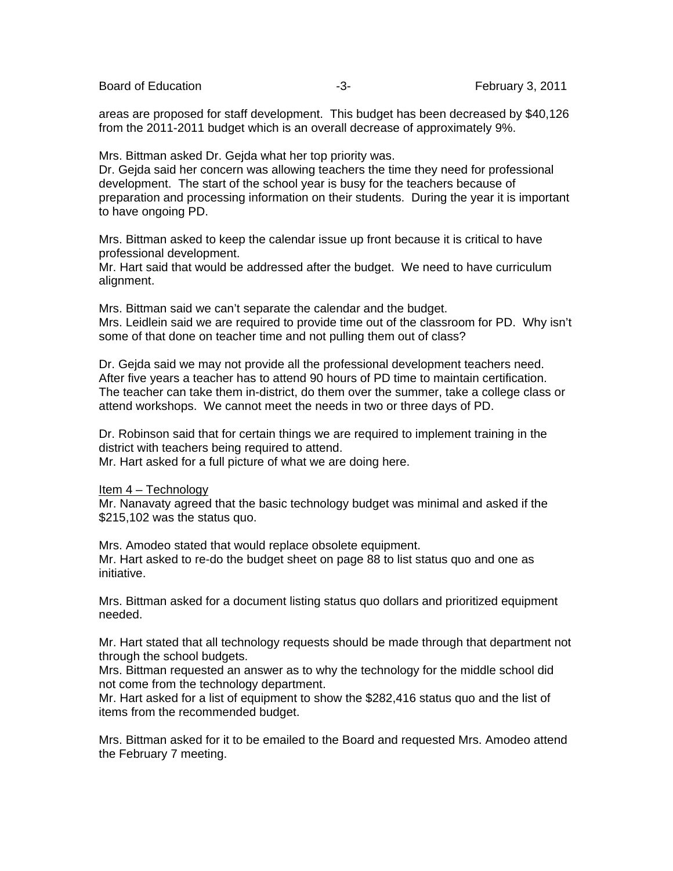Board of Education **-3-** February 3, 2011

areas are proposed for staff development. This budget has been decreased by \$40,126 from the 2011-2011 budget which is an overall decrease of approximately 9%.

Mrs. Bittman asked Dr. Gejda what her top priority was.

Dr. Gejda said her concern was allowing teachers the time they need for professional development. The start of the school year is busy for the teachers because of preparation and processing information on their students. During the year it is important to have ongoing PD.

Mrs. Bittman asked to keep the calendar issue up front because it is critical to have professional development.

Mr. Hart said that would be addressed after the budget. We need to have curriculum alignment.

Mrs. Bittman said we can't separate the calendar and the budget. Mrs. Leidlein said we are required to provide time out of the classroom for PD. Why isn't some of that done on teacher time and not pulling them out of class?

Dr. Gejda said we may not provide all the professional development teachers need. After five years a teacher has to attend 90 hours of PD time to maintain certification. The teacher can take them in-district, do them over the summer, take a college class or attend workshops. We cannot meet the needs in two or three days of PD.

Dr. Robinson said that for certain things we are required to implement training in the district with teachers being required to attend.

Mr. Hart asked for a full picture of what we are doing here.

Item 4 – Technology

Mr. Nanavaty agreed that the basic technology budget was minimal and asked if the \$215,102 was the status quo.

Mrs. Amodeo stated that would replace obsolete equipment. Mr. Hart asked to re-do the budget sheet on page 88 to list status quo and one as initiative.

Mrs. Bittman asked for a document listing status quo dollars and prioritized equipment needed.

Mr. Hart stated that all technology requests should be made through that department not through the school budgets.

Mrs. Bittman requested an answer as to why the technology for the middle school did not come from the technology department.

Mr. Hart asked for a list of equipment to show the \$282,416 status quo and the list of items from the recommended budget.

Mrs. Bittman asked for it to be emailed to the Board and requested Mrs. Amodeo attend the February 7 meeting.